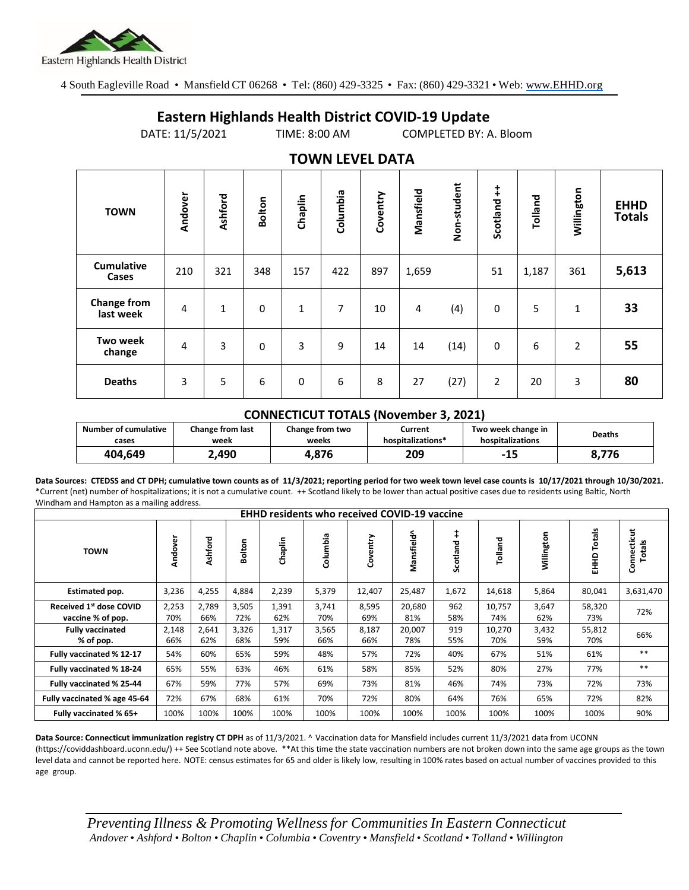

4 South Eagleville Road • Mansfield CT 06268 • Tel: (860) 429-3325 • Fax: (860) 429-3321 • Web: www.EHHD.org

## **Eastern Highlands Health District COVID-19 Update**

DATE: 11/5/2021 TIME: 8:00 AM COMPLETED BY: A. Bloom

| $19.111$ is the set $27.17$     |                |              |               |             |          |          |           |             |                |         |                |                              |
|---------------------------------|----------------|--------------|---------------|-------------|----------|----------|-----------|-------------|----------------|---------|----------------|------------------------------|
| <b>TOWN</b>                     | Andover        | Ashford      | <b>Bolton</b> | Chaplin     | Columbia | Coventry | Mansfield | Non-student | Scotland ++    | Tolland | Willington     | <b>EHHD</b><br><b>Totals</b> |
| <b>Cumulative</b><br>Cases      | 210            | 321          | 348           | 157         | 422      | 897      | 1,659     |             | 51             | 1,187   | 361            | 5,613                        |
| <b>Change from</b><br>last week | 4              | $\mathbf{1}$ | $\mathbf 0$   | 1           | 7        | 10       | 4         | (4)         | 0              | 5       | 1              | 33                           |
| <b>Two week</b><br>change       | $\overline{4}$ | 3            | 0             | 3           | 9        | 14       | 14        | (14)        | 0              | 6       | $\overline{2}$ | 55                           |
| <b>Deaths</b>                   | 3              | 5            | 6             | $\mathbf 0$ | 6        | 8        | 27        | (27)        | $\overline{2}$ | 20      | 3              | 80                           |

## **TOWN LEVEL DATA**

## **CONNECTICUT TOTALS (November 3, 2021)**

| <b>Number of cumulative</b> | Change from last | Change from two | Current           | Two week change in | <b>Deaths</b> |  |
|-----------------------------|------------------|-----------------|-------------------|--------------------|---------------|--|
| cases                       | week             | weeks           | hospitalizations* | hospitalizations   |               |  |
| 404.649                     | .,490            | 4.876           | 209               | -15                | 8.776         |  |

**Data Sources: CTEDSS and CT DPH; cumulative town counts as of 11/3/2021; reporting period for two week town level case counts is 10/17/2021 through 10/30/2021.** \*Current (net) number of hospitalizations; it is not a cumulative count. ++ Scotland likely to be lower than actual positive cases due to residents using Baltic, North Windham and Hampton as a mailing address.

| <b>EHHD residents who received COVID-19 vaccine</b> |              |              |              |              |              |              |               |            |               |              |                  |                              |
|-----------------------------------------------------|--------------|--------------|--------------|--------------|--------------|--------------|---------------|------------|---------------|--------------|------------------|------------------------------|
| <b>TOWN</b>                                         | Andover      | Ashford      | Bolton       | Chaplin      | Columbia     | Coventry     | Mansfield^    | Scotland   | Tolland       | Willington   | Totals<br>요<br>도 | Connecticut<br><b>Totals</b> |
| Estimated pop.                                      | 3,236        | 4,255        | 4,884        | 2,239        | 5,379        | 12,407       | 25,487        | 1,672      | 14,618        | 5,864        | 80,041           | 3,631,470                    |
| Received 1st dose COVID<br>vaccine % of pop.        | 2,253<br>70% | 2,789<br>66% | 3,505<br>72% | 1,391<br>62% | 3,741<br>70% | 8,595<br>69% | 20,680<br>81% | 962<br>58% | 10,757<br>74% | 3,647<br>62% | 58,320<br>73%    | 72%                          |
| <b>Fully vaccinated</b><br>% of pop.                | 2,148<br>66% | 2,641<br>62% | 3,326<br>68% | 1,317<br>59% | 3,565<br>66% | 8,187<br>66% | 20,007<br>78% | 919<br>55% | 10,270<br>70% | 3,432<br>59% | 55,812<br>70%    | 66%                          |
| Fully vaccinated % 12-17                            | 54%          | 60%          | 65%          | 59%          | 48%          | 57%          | 72%           | 40%        | 67%           | 51%          | 61%              | $***$                        |
| Fully vaccinated % 18-24                            | 65%          | 55%          | 63%          | 46%          | 61%          | 58%          | 85%           | 52%        | 80%           | 27%          | 77%              | $***$                        |
| Fully vaccinated % 25-44                            | 67%          | 59%          | 77%          | 57%          | 69%          | 73%          | 81%           | 46%        | 74%           | 73%          | 72%              | 73%                          |
| Fully vaccinated % age 45-64                        | 72%          | 67%          | 68%          | 61%          | 70%          | 72%          | 80%           | 64%        | 76%           | 65%          | 72%              | 82%                          |
| Fully vaccinated % 65+                              | 100%         | 100%         | 100%         | 100%         | 100%         | 100%         | 100%          | 100%       | 100%          | 100%         | 100%             | 90%                          |

**Data Source: Connecticut immunization registry CT DPH** as of 11/3/2021. ^ Vaccination data for Mansfield includes current 11/3/2021 data from UCONN (https://coviddashboard.uconn.edu/) ++ See Scotland note above. \*\*At this time the state vaccination numbers are not broken down into the same age groups as the town level data and cannot be reported here. NOTE: census estimates for 65 and older is likely low, resulting in 100% rates based on actual number of vaccines provided to this age group.

*Preventing Illness & Promoting Wellnessfor Communities In Eastern Connecticut* Andover . Ashford . Bolton . Chaplin . Columbia . Coventry . Mansfield . Scotland . Tolland . Willington